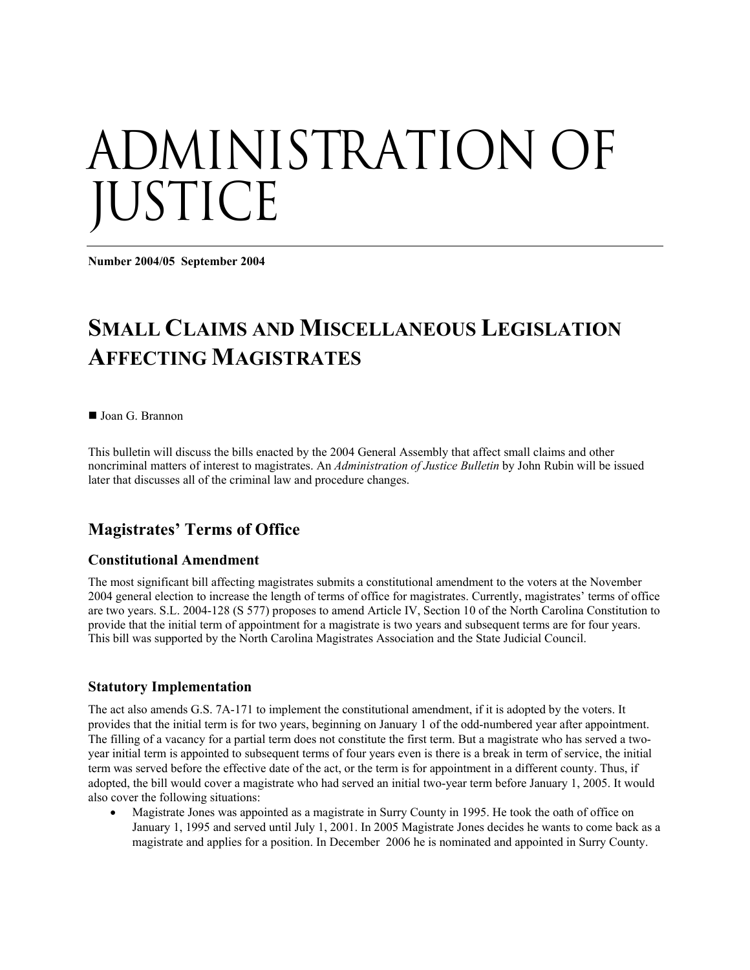# administration of USTICE

**Number 2004/05 September 2004** 

# **SMALL CLAIMS AND MISCELLANEOUS LEGISLATION AFFECTING MAGISTRATES**

#### ■ Joan G. Brannon

This bulletin will discuss the bills enacted by the 2004 General Assembly that affect small claims and other noncriminal matters of interest to magistrates. An *Administration of Justice Bulletin* by John Rubin will be issued later that discusses all of the criminal law and procedure changes.

# **Magistrates' Terms of Office**

#### **Constitutional Amendment**

The most significant bill affecting magistrates submits a constitutional amendment to the voters at the November 2004 general election to increase the length of terms of office for magistrates. Currently, magistrates' terms of office are two years. S.L. 2004-128 (S 577) proposes to amend Article IV, Section 10 of the North Carolina Constitution to provide that the initial term of appointment for a magistrate is two years and subsequent terms are for four years. This bill was supported by the North Carolina Magistrates Association and the State Judicial Council.

#### **Statutory Implementation**

The act also amends G.S. 7A-171 to implement the constitutional amendment, if it is adopted by the voters. It provides that the initial term is for two years, beginning on January 1 of the odd-numbered year after appointment. The filling of a vacancy for a partial term does not constitute the first term. But a magistrate who has served a twoyear initial term is appointed to subsequent terms of four years even is there is a break in term of service, the initial term was served before the effective date of the act, or the term is for appointment in a different county. Thus, if adopted, the bill would cover a magistrate who had served an initial two-year term before January 1, 2005. It would also cover the following situations:

• Magistrate Jones was appointed as a magistrate in Surry County in 1995. He took the oath of office on January 1, 1995 and served until July 1, 2001. In 2005 Magistrate Jones decides he wants to come back as a magistrate and applies for a position. In December 2006 he is nominated and appointed in Surry County.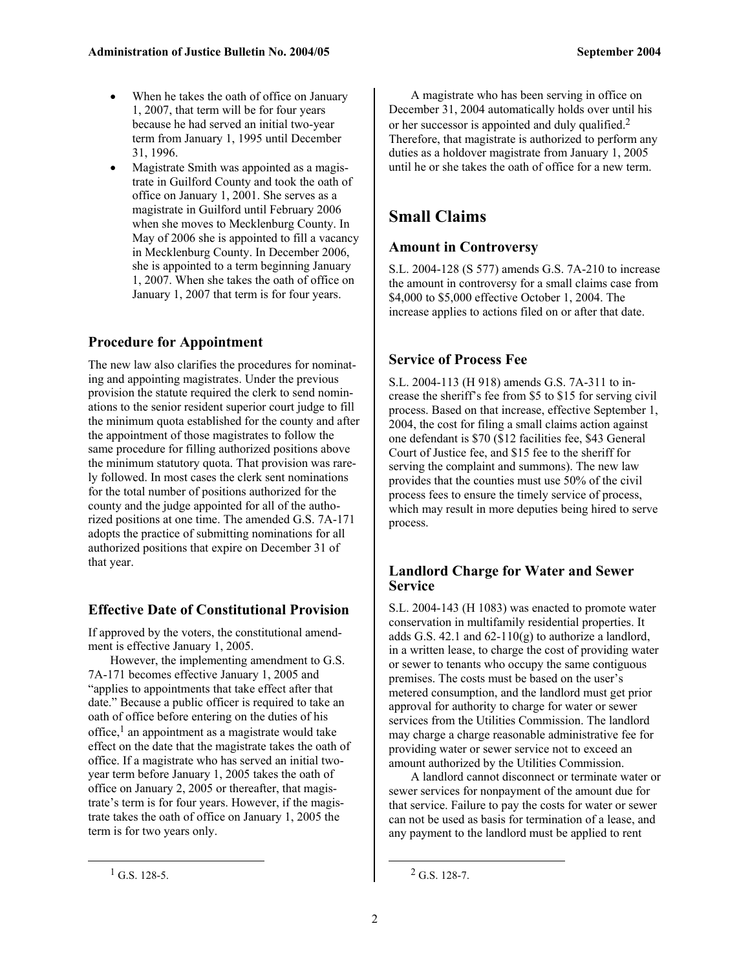- When he takes the oath of office on January 1, 2007, that term will be for four years because he had served an initial two-year term from January 1, 1995 until December 31, 1996.
- Magistrate Smith was appointed as a magistrate in Guilford County and took the oath of office on January 1, 2001. She serves as a magistrate in Guilford until February 2006 when she moves to Mecklenburg County. In May of 2006 she is appointed to fill a vacancy in Mecklenburg County. In December 2006, she is appointed to a term beginning January 1, 2007. When she takes the oath of office on January 1, 2007 that term is for four years.

#### **Procedure for Appointment**

The new law also clarifies the procedures for nominating and appointing magistrates. Under the previous provision the statute required the clerk to send nominations to the senior resident superior court judge to fill the minimum quota established for the county and after the appointment of those magistrates to follow the same procedure for filling authorized positions above the minimum statutory quota. That provision was rarely followed. In most cases the clerk sent nominations for the total number of positions authorized for the county and the judge appointed for all of the authorized positions at one time. The amended G.S. 7A-171 adopts the practice of submitting nominations for all authorized positions that expire on December 31 of that year.

#### **Effective Date of Constitutional Provision**

If approved by the voters, the constitutional amendment is effective January 1, 2005.

However, the implementing amendment to G.S. 7A-171 becomes effective January 1, 2005 and "applies to appointments that take effect after that date." Because a public officer is required to take an oath of office before entering on the duties of his office, $<sup>1</sup>$  an appointment as a magistrate would take</sup> effect on the date that the magistrate takes the oath of office. If a magistrate who has served an initial twoyear term before January 1, 2005 takes the oath of office on January 2, 2005 or thereafter, that magistrate's term is for four years. However, if the magistrate takes the oath of office on January 1, 2005 the term is for two years only.

A magistrate who has been serving in office on December 31, 2004 automatically holds over until his or her successor is appointed and duly qualified.2 Therefore, that magistrate is authorized to perform any duties as a holdover magistrate from January 1, 2005 until he or she takes the oath of office for a new term.

#### **Small Claims**

#### **Amount in Controversy**

S.L. 2004-128 (S 577) amends G.S. 7A-210 to increase the amount in controversy for a small claims case from \$4,000 to \$5,000 effective October 1, 2004. The increase applies to actions filed on or after that date.

#### **Service of Process Fee**

S.L. 2004-113 (H 918) amends G.S. 7A-311 to increase the sheriff's fee from \$5 to \$15 for serving civil process. Based on that increase, effective September 1, 2004, the cost for filing a small claims action against one defendant is \$70 (\$12 facilities fee, \$43 General Court of Justice fee, and \$15 fee to the sheriff for serving the complaint and summons). The new law provides that the counties must use 50% of the civil process fees to ensure the timely service of process, which may result in more deputies being hired to serve process.

#### **Landlord Charge for Water and Sewer Service**

S.L. 2004-143 (H 1083) was enacted to promote water conservation in multifamily residential properties. It adds G.S. 42.1 and  $62-110(g)$  to authorize a landlord, in a written lease, to charge the cost of providing water or sewer to tenants who occupy the same contiguous premises. The costs must be based on the user's metered consumption, and the landlord must get prior approval for authority to charge for water or sewer services from the Utilities Commission. The landlord may charge a charge reasonable administrative fee for providing water or sewer service not to exceed an amount authorized by the Utilities Commission.

A landlord cannot disconnect or terminate water or sewer services for nonpayment of the amount due for that service. Failure to pay the costs for water or sewer can not be used as basis for termination of a lease, and any payment to the landlord must be applied to rent

 $1$  G.S. 128-5.

 <sup>2</sup> G.S. 128-7.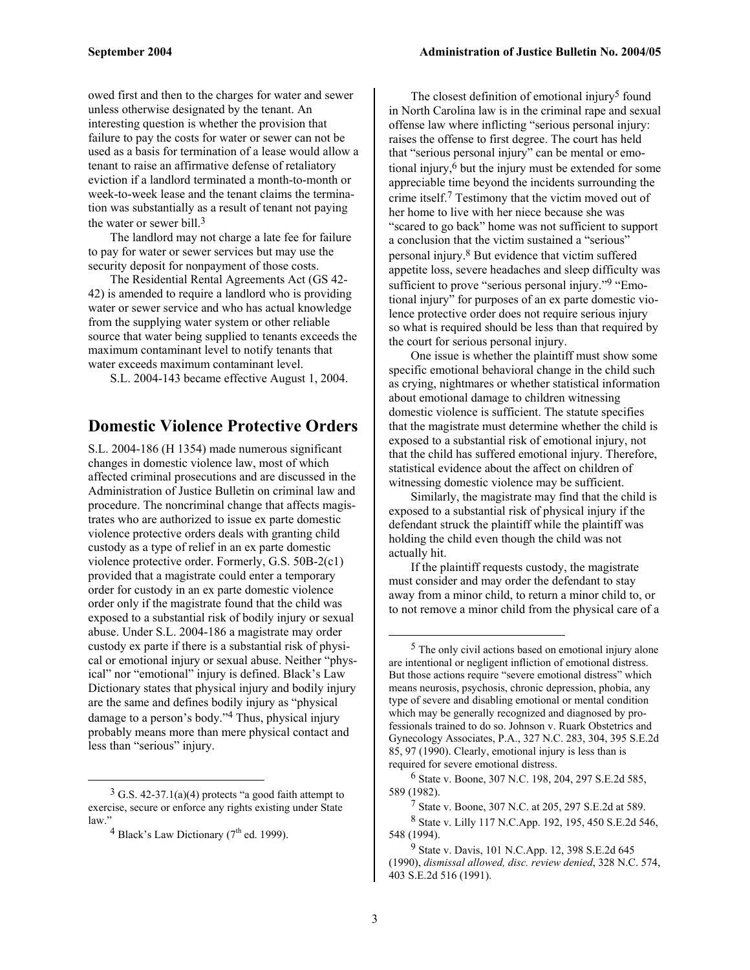owed first and then to the charges for water and sewer unless otherwise designated by the tenant. An interesting question is whether the provision that failure to pay the costs for water or sewer can not be used as a basis for termination of a lease would allow a tenant to raise an affirmative defense of retaliatory eviction if a landlord terminated a month-to-month or week-to-week lease and the tenant claims the termination was substantially as a result of tenant not paying the water or sewer bill.3

The landlord may not charge a late fee for failure to pay for water or sewer services but may use the security deposit for nonpayment of those costs.

The Residential Rental Agreements Act (GS 42- 42) is amended to require a landlord who is providing water or sewer service and who has actual knowledge from the supplying water system or other reliable source that water being supplied to tenants exceeds the maximum contaminant level to notify tenants that water exceeds maximum contaminant level.

S.L. 2004-143 became effective August 1, 2004.

# **Domestic Violence Protective Orders**

S.L. 2004-186 (H 1354) made numerous significant changes in domestic violence law, most of which affected criminal prosecutions and are discussed in the Administration of Justice Bulletin on criminal law and procedure. The noncriminal change that affects magistrates who are authorized to issue ex parte domestic violence protective orders deals with granting child custody as a type of relief in an ex parte domestic violence protective order. Formerly, G.S. 50B-2(c1) provided that a magistrate could enter a temporary order for custody in an ex parte domestic violence order only if the magistrate found that the child was exposed to a substantial risk of bodily injury or sexual abuse. Under S.L. 2004-186 a magistrate may order custody ex parte if there is a substantial risk of physical or emotional injury or sexual abuse. Neither "physical" nor "emotional" injury is defined. Black's Law Dictionary states that physical injury and bodily injury are the same and defines bodily injury as "physical damage to a person's body."4 Thus, physical injury probably means more than mere physical contact and less than "serious" injury.

The closest definition of emotional injury<sup>5</sup> found in North Carolina law is in the criminal rape and sexual offense law where inflicting "serious personal injury: raises the offense to first degree. The court has held that "serious personal injury" can be mental or emotional injury,6 but the injury must be extended for some appreciable time beyond the incidents surrounding the crime itself.7 Testimony that the victim moved out of her home to live with her niece because she was "scared to go back" home was not sufficient to support a conclusion that the victim sustained a "serious" personal injury.8 But evidence that victim suffered appetite loss, severe headaches and sleep difficulty was sufficient to prove "serious personal injury."<sup>9</sup> "Emotional injury" for purposes of an ex parte domestic violence protective order does not require serious injury so what is required should be less than that required by the court for serious personal injury.

One issue is whether the plaintiff must show some specific emotional behavioral change in the child such as crying, nightmares or whether statistical information about emotional damage to children witnessing domestic violence is sufficient. The statute specifies that the magistrate must determine whether the child is exposed to a substantial risk of emotional injury, not that the child has suffered emotional injury. Therefore, statistical evidence about the affect on children of witnessing domestic violence may be sufficient.

Similarly, the magistrate may find that the child is exposed to a substantial risk of physical injury if the defendant struck the plaintiff while the plaintiff was holding the child even though the child was not actually hit.

If the plaintiff requests custody, the magistrate must consider and may order the defendant to stay away from a minor child, to return a minor child to, or to not remove a minor child from the physical care of a

 $3$  G.S. 42-37.1(a)(4) protects "a good faith attempt to exercise, secure or enforce any rights existing under State law."

 $4$  Black's Law Dictionary ( $7<sup>th</sup>$  ed. 1999).

 <sup>5</sup> The only civil actions based on emotional injury alone are intentional or negligent infliction of emotional distress. But those actions require "severe emotional distress" which means neurosis, psychosis, chronic depression, phobia, any type of severe and disabling emotional or mental condition which may be generally recognized and diagnosed by professionals trained to do so. Johnson v. Ruark Obstetrics and Gynecology Associates, P.A., 327 N.C. 283, 304, 395 S.E.2d 85, 97 (1990). Clearly, emotional injury is less than is required for severe emotional distress.

<sup>6</sup> State v. Boone, 307 N.C. 198, 204, 297 S.E.2d 585, 589 (1982).

<sup>7</sup> State v. Boone, 307 N.C. at 205, 297 S.E.2d at 589.

<sup>8</sup> State v. Lilly 117 N.C.App. 192, 195, 450 S.E.2d 546, 548 (1994).

<sup>9</sup> State v. Davis, 101 N.C.App. 12, 398 S.E.2d 645 (1990), *dismissal allowed, disc. review denied*, 328 N.C. 574, 403 S.E.2d 516 (1991).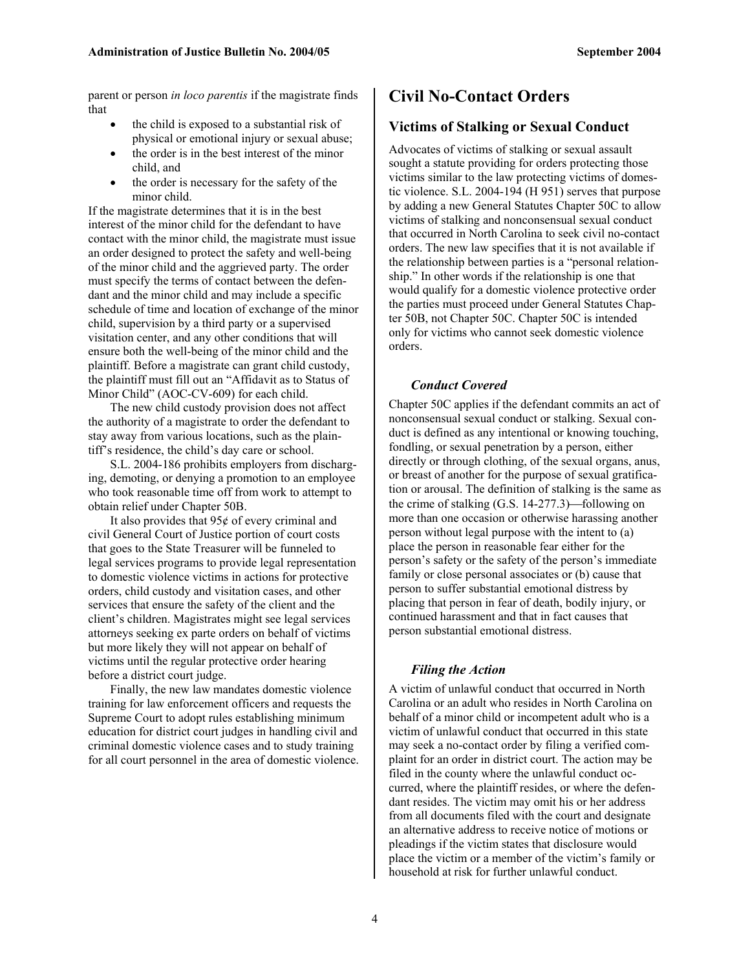parent or person *in loco parentis* if the magistrate finds that

- the child is exposed to a substantial risk of physical or emotional injury or sexual abuse;
- the order is in the best interest of the minor child, and
- the order is necessary for the safety of the minor child.

If the magistrate determines that it is in the best interest of the minor child for the defendant to have contact with the minor child, the magistrate must issue an order designed to protect the safety and well-being of the minor child and the aggrieved party. The order must specify the terms of contact between the defendant and the minor child and may include a specific schedule of time and location of exchange of the minor child, supervision by a third party or a supervised visitation center, and any other conditions that will ensure both the well-being of the minor child and the plaintiff. Before a magistrate can grant child custody, the plaintiff must fill out an "Affidavit as to Status of Minor Child" (AOC-CV-609) for each child.

The new child custody provision does not affect the authority of a magistrate to order the defendant to stay away from various locations, such as the plaintiff's residence, the child's day care or school.

S.L. 2004-186 prohibits employers from discharging, demoting, or denying a promotion to an employee who took reasonable time off from work to attempt to obtain relief under Chapter 50B.

It also provides that 95¢ of every criminal and civil General Court of Justice portion of court costs that goes to the State Treasurer will be funneled to legal services programs to provide legal representation to domestic violence victims in actions for protective orders, child custody and visitation cases, and other services that ensure the safety of the client and the client's children. Magistrates might see legal services attorneys seeking ex parte orders on behalf of victims but more likely they will not appear on behalf of victims until the regular protective order hearing before a district court judge.

Finally, the new law mandates domestic violence training for law enforcement officers and requests the Supreme Court to adopt rules establishing minimum education for district court judges in handling civil and criminal domestic violence cases and to study training for all court personnel in the area of domestic violence.

### **Civil No-Contact Orders**

#### **Victims of Stalking or Sexual Conduct**

Advocates of victims of stalking or sexual assault sought a statute providing for orders protecting those victims similar to the law protecting victims of domestic violence. S.L. 2004-194 (H 951) serves that purpose by adding a new General Statutes Chapter 50C to allow victims of stalking and nonconsensual sexual conduct that occurred in North Carolina to seek civil no-contact orders. The new law specifies that it is not available if the relationship between parties is a "personal relationship." In other words if the relationship is one that would qualify for a domestic violence protective order the parties must proceed under General Statutes Chapter 50B, not Chapter 50C. Chapter 50C is intended only for victims who cannot seek domestic violence orders.

#### *Conduct Covered*

Chapter 50C applies if the defendant commits an act of nonconsensual sexual conduct or stalking. Sexual conduct is defined as any intentional or knowing touching, fondling, or sexual penetration by a person, either directly or through clothing, of the sexual organs, anus, or breast of another for the purpose of sexual gratification or arousal. The definition of stalking is the same as the crime of stalking  $(G.S. 14-277.3)$ —following on more than one occasion or otherwise harassing another person without legal purpose with the intent to (a) place the person in reasonable fear either for the person's safety or the safety of the person's immediate family or close personal associates or (b) cause that person to suffer substantial emotional distress by placing that person in fear of death, bodily injury, or continued harassment and that in fact causes that person substantial emotional distress.

#### *Filing the Action*

A victim of unlawful conduct that occurred in North Carolina or an adult who resides in North Carolina on behalf of a minor child or incompetent adult who is a victim of unlawful conduct that occurred in this state may seek a no-contact order by filing a verified complaint for an order in district court. The action may be filed in the county where the unlawful conduct occurred, where the plaintiff resides, or where the defendant resides. The victim may omit his or her address from all documents filed with the court and designate an alternative address to receive notice of motions or pleadings if the victim states that disclosure would place the victim or a member of the victim's family or household at risk for further unlawful conduct.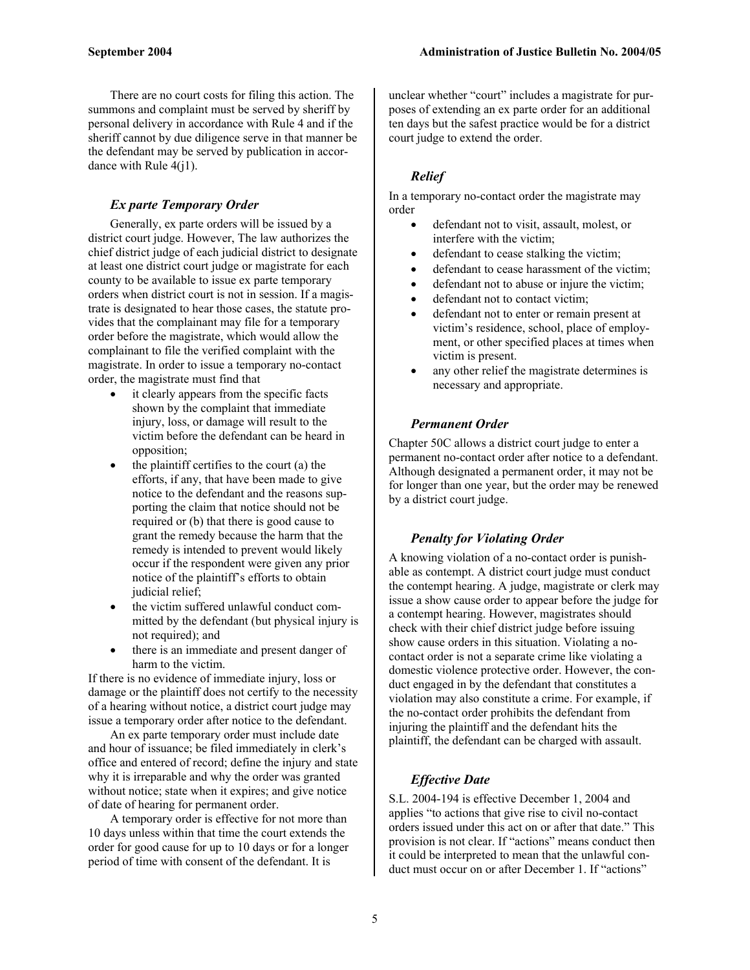There are no court costs for filing this action. The summons and complaint must be served by sheriff by personal delivery in accordance with Rule 4 and if the sheriff cannot by due diligence serve in that manner be the defendant may be served by publication in accordance with Rule 4(j1).

#### *Ex parte Temporary Order*

Generally, ex parte orders will be issued by a district court judge. However, The law authorizes the chief district judge of each judicial district to designate at least one district court judge or magistrate for each county to be available to issue ex parte temporary orders when district court is not in session. If a magistrate is designated to hear those cases, the statute provides that the complainant may file for a temporary order before the magistrate, which would allow the complainant to file the verified complaint with the magistrate. In order to issue a temporary no-contact order, the magistrate must find that

- it clearly appears from the specific facts shown by the complaint that immediate injury, loss, or damage will result to the victim before the defendant can be heard in opposition;
- the plaintiff certifies to the court  $(a)$  the efforts, if any, that have been made to give notice to the defendant and the reasons supporting the claim that notice should not be required or (b) that there is good cause to grant the remedy because the harm that the remedy is intended to prevent would likely occur if the respondent were given any prior notice of the plaintiff's efforts to obtain judicial relief:
- the victim suffered unlawful conduct committed by the defendant (but physical injury is not required); and
- there is an immediate and present danger of harm to the victim.

If there is no evidence of immediate injury, loss or damage or the plaintiff does not certify to the necessity of a hearing without notice, a district court judge may issue a temporary order after notice to the defendant.

An ex parte temporary order must include date and hour of issuance; be filed immediately in clerk's office and entered of record; define the injury and state why it is irreparable and why the order was granted without notice; state when it expires; and give notice of date of hearing for permanent order.

A temporary order is effective for not more than 10 days unless within that time the court extends the order for good cause for up to 10 days or for a longer period of time with consent of the defendant. It is

unclear whether "court" includes a magistrate for purposes of extending an ex parte order for an additional ten days but the safest practice would be for a district court judge to extend the order.

#### *Relief*

In a temporary no-contact order the magistrate may order

- defendant not to visit, assault, molest, or interfere with the victim;
- defendant to cease stalking the victim;
- defendant to cease harassment of the victim;
- defendant not to abuse or injure the victim;
- defendant not to contact victim;
- defendant not to enter or remain present at victim's residence, school, place of employment, or other specified places at times when victim is present.
- any other relief the magistrate determines is necessary and appropriate.

#### *Permanent Order*

Chapter 50C allows a district court judge to enter a permanent no-contact order after notice to a defendant. Although designated a permanent order, it may not be for longer than one year, but the order may be renewed by a district court judge.

#### *Penalty for Violating Order*

A knowing violation of a no-contact order is punishable as contempt. A district court judge must conduct the contempt hearing. A judge, magistrate or clerk may issue a show cause order to appear before the judge for a contempt hearing. However, magistrates should check with their chief district judge before issuing show cause orders in this situation. Violating a nocontact order is not a separate crime like violating a domestic violence protective order. However, the conduct engaged in by the defendant that constitutes a violation may also constitute a crime. For example, if the no-contact order prohibits the defendant from injuring the plaintiff and the defendant hits the plaintiff, the defendant can be charged with assault.

#### *Effective Date*

S.L. 2004-194 is effective December 1, 2004 and applies "to actions that give rise to civil no-contact orders issued under this act on or after that date." This provision is not clear. If "actions" means conduct then it could be interpreted to mean that the unlawful conduct must occur on or after December 1. If "actions"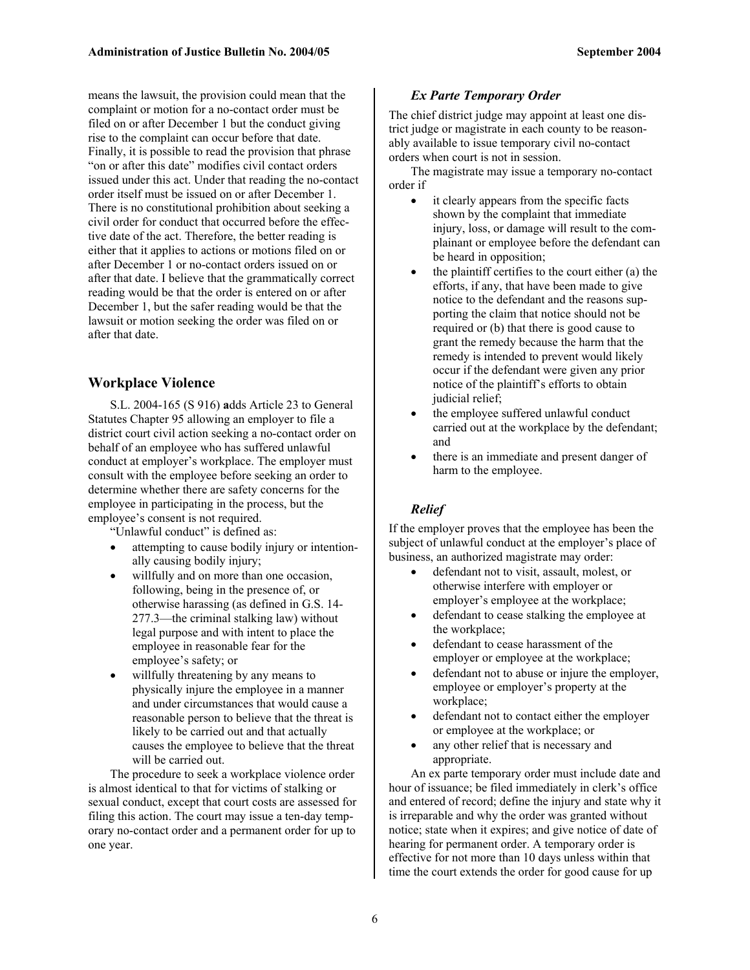means the lawsuit, the provision could mean that the complaint or motion for a no-contact order must be filed on or after December 1 but the conduct giving rise to the complaint can occur before that date. Finally, it is possible to read the provision that phrase "on or after this date" modifies civil contact orders issued under this act. Under that reading the no-contact order itself must be issued on or after December 1. There is no constitutional prohibition about seeking a civil order for conduct that occurred before the effective date of the act. Therefore, the better reading is either that it applies to actions or motions filed on or after December 1 or no-contact orders issued on or after that date. I believe that the grammatically correct reading would be that the order is entered on or after December 1, but the safer reading would be that the lawsuit or motion seeking the order was filed on or after that date.

#### **Workplace Violence**

S.L. 2004-165 (S 916) **a**dds Article 23 to General Statutes Chapter 95 allowing an employer to file a district court civil action seeking a no-contact order on behalf of an employee who has suffered unlawful conduct at employer's workplace. The employer must consult with the employee before seeking an order to determine whether there are safety concerns for the employee in participating in the process, but the employee's consent is not required.

"Unlawful conduct" is defined as:

- attempting to cause bodily injury or intentionally causing bodily injury;
- willfully and on more than one occasion. following, being in the presence of, or otherwise harassing (as defined in G.S. 14- 277.3—the criminal stalking law) without legal purpose and with intent to place the employee in reasonable fear for the employee's safety; or
- willfully threatening by any means to physically injure the employee in a manner and under circumstances that would cause a reasonable person to believe that the threat is likely to be carried out and that actually causes the employee to believe that the threat will be carried out.

The procedure to seek a workplace violence order is almost identical to that for victims of stalking or sexual conduct, except that court costs are assessed for filing this action. The court may issue a ten-day temporary no-contact order and a permanent order for up to one year.

#### *Ex Parte Temporary Order*

The chief district judge may appoint at least one district judge or magistrate in each county to be reasonably available to issue temporary civil no-contact orders when court is not in session.

The magistrate may issue a temporary no-contact order if

- it clearly appears from the specific facts shown by the complaint that immediate injury, loss, or damage will result to the complainant or employee before the defendant can be heard in opposition;
- the plaintiff certifies to the court either  $(a)$  the efforts, if any, that have been made to give notice to the defendant and the reasons supporting the claim that notice should not be required or (b) that there is good cause to grant the remedy because the harm that the remedy is intended to prevent would likely occur if the defendant were given any prior notice of the plaintiff's efforts to obtain judicial relief;
- the employee suffered unlawful conduct carried out at the workplace by the defendant; and
- there is an immediate and present danger of harm to the employee.

#### *Relief*

If the employer proves that the employee has been the subject of unlawful conduct at the employer's place of business, an authorized magistrate may order:

- defendant not to visit, assault, molest, or otherwise interfere with employer or employer's employee at the workplace;
- defendant to cease stalking the employee at the workplace;
- defendant to cease harassment of the employer or employee at the workplace;
- defendant not to abuse or injure the employer, employee or employer's property at the workplace;
- defendant not to contact either the employer or employee at the workplace; or
- any other relief that is necessary and appropriate.

An ex parte temporary order must include date and hour of issuance; be filed immediately in clerk's office and entered of record; define the injury and state why it is irreparable and why the order was granted without notice; state when it expires; and give notice of date of hearing for permanent order. A temporary order is effective for not more than 10 days unless within that time the court extends the order for good cause for up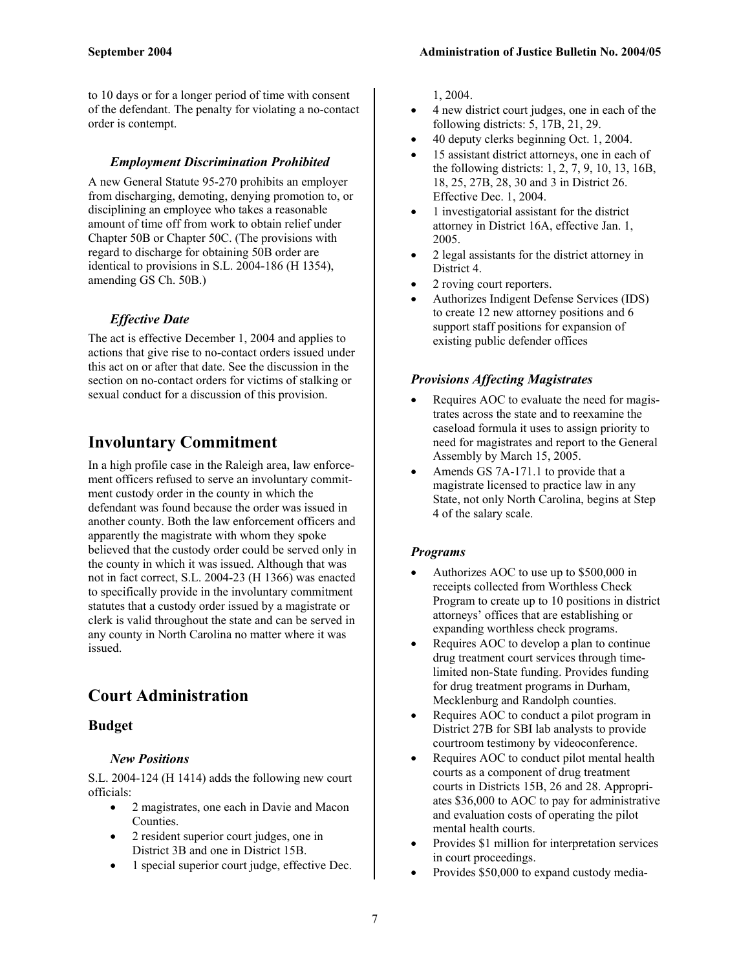to 10 days or for a longer period of time with consent of the defendant. The penalty for violating a no-contact order is contempt.

#### *Employment Discrimination Prohibited*

A new General Statute 95-270 prohibits an employer from discharging, demoting, denying promotion to, or disciplining an employee who takes a reasonable amount of time off from work to obtain relief under Chapter 50B or Chapter 50C. (The provisions with regard to discharge for obtaining 50B order are identical to provisions in S.L. 2004-186 (H 1354), amending GS Ch. 50B.)

#### *Effective Date*

The act is effective December 1, 2004 and applies to actions that give rise to no-contact orders issued under this act on or after that date. See the discussion in the section on no-contact orders for victims of stalking or sexual conduct for a discussion of this provision.

# **Involuntary Commitment**

In a high profile case in the Raleigh area, law enforcement officers refused to serve an involuntary commitment custody order in the county in which the defendant was found because the order was issued in another county. Both the law enforcement officers and apparently the magistrate with whom they spoke believed that the custody order could be served only in the county in which it was issued. Although that was not in fact correct, S.L. 2004-23 (H 1366) was enacted to specifically provide in the involuntary commitment statutes that a custody order issued by a magistrate or clerk is valid throughout the state and can be served in any county in North Carolina no matter where it was issued.

# **Court Administration**

#### **Budget**

#### *New Positions*

S.L. 2004-124 (H 1414) adds the following new court officials:

- 2 magistrates, one each in Davie and Macon Counties.
- 2 resident superior court judges, one in District 3B and one in District 15B.
- 1 special superior court judge, effective Dec.

1, 2004.

- 4 new district court judges, one in each of the following districts: 5, 17B, 21, 29.
- 40 deputy clerks beginning Oct. 1, 2004.
- 15 assistant district attorneys, one in each of the following districts: 1, 2, 7, 9, 10, 13, 16B, 18, 25, 27B, 28, 30 and 3 in District 26. Effective Dec. 1, 2004.
- 1 investigatorial assistant for the district attorney in District 16A, effective Jan. 1, 2005.
- 2 legal assistants for the district attorney in District 4.
- 2 roving court reporters.
- Authorizes Indigent Defense Services (IDS) to create 12 new attorney positions and 6 support staff positions for expansion of existing public defender offices

#### *Provisions Affecting Magistrates*

- Requires AOC to evaluate the need for magistrates across the state and to reexamine the caseload formula it uses to assign priority to need for magistrates and report to the General Assembly by March 15, 2005.
- Amends GS 7A-171.1 to provide that a magistrate licensed to practice law in any State, not only North Carolina, begins at Step 4 of the salary scale.

#### *Programs*

- Authorizes AOC to use up to \$500,000 in receipts collected from Worthless Check Program to create up to 10 positions in district attorneys' offices that are establishing or expanding worthless check programs.
- Requires AOC to develop a plan to continue drug treatment court services through timelimited non-State funding. Provides funding for drug treatment programs in Durham, Mecklenburg and Randolph counties.
- Requires AOC to conduct a pilot program in District 27B for SBI lab analysts to provide courtroom testimony by videoconference.
- Requires AOC to conduct pilot mental health courts as a component of drug treatment courts in Districts 15B, 26 and 28. Appropriates \$36,000 to AOC to pay for administrative and evaluation costs of operating the pilot mental health courts.
- Provides \$1 million for interpretation services in court proceedings.
- Provides \$50,000 to expand custody media-